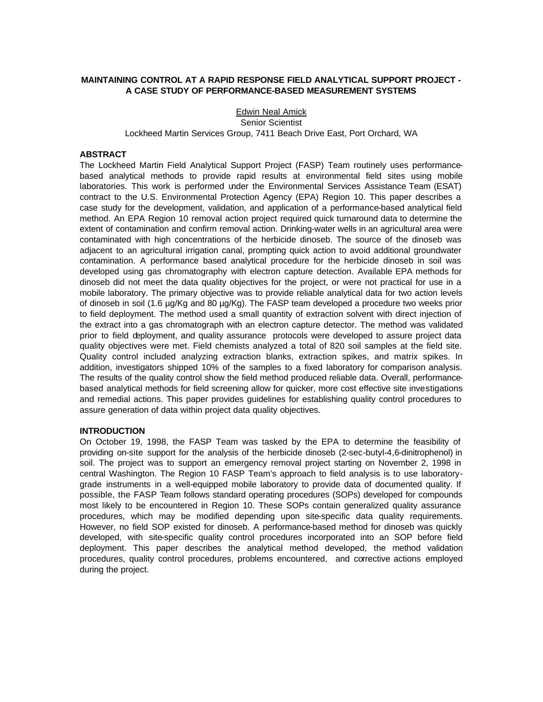# **MAINTAINING CONTROL AT A RAPID RESPONSE FIELD ANALYTICAL SUPPORT PROJECT - A CASE STUDY OF PERFORMANCE-BASED MEASUREMENT SYSTEMS**

## Edwin Neal Amick Senior Scientist Lockheed Martin Services Group, 7411 Beach Drive East, Port Orchard, WA

# **ABSTRACT**

The Lockheed Martin Field Analytical Support Project (FASP) Team routinely uses performancebased analytical methods to provide rapid results at environmental field sites using mobile laboratories. This work is performed under the Environmental Services Assistance Team (ESAT) contract to the U.S. Environmental Protection Agency (EPA) Region 10. This paper describes a case study for the development, validation, and application of a performance-based analytical field method. An EPA Region 10 removal action project required quick turnaround data to determine the extent of contamination and confirm removal action. Drinking-water wells in an agricultural area were contaminated with high concentrations of the herbicide dinoseb. The source of the dinoseb was adjacent to an agricultural irrigation canal, prompting quick action to avoid additional groundwater contamination. A performance based analytical procedure for the herbicide dinoseb in soil was developed using gas chromatography with electron capture detection. Available EPA methods for dinoseb did not meet the data quality objectives for the project, or were not practical for use in a mobile laboratory. The primary objective was to provide reliable analytical data for two action levels of dinoseb in soil (1.6 µg/Kg and 80 µg/Kg). The FASP team developed a procedure two weeks prior to field deployment. The method used a small quantity of extraction solvent with direct injection of the extract into a gas chromatograph with an electron capture detector. The method was validated prior to field deployment, and quality assurance protocols were developed to assure project data quality objectives were met. Field chemists analyzed a total of 820 soil samples at the field site. Quality control included analyzing extraction blanks, extraction spikes, and matrix spikes. In addition, investigators shipped 10% of the samples to a fixed laboratory for comparison analysis. The results of the quality control show the field method produced reliable data. Overall, performancebased analytical methods for field screening allow for quicker, more cost effective site investigations and remedial actions. This paper provides guidelines for establishing quality control procedures to assure generation of data within project data quality objectives.

#### **INTRODUCTION**

On October 19, 1998, the FASP Team was tasked by the EPA to determine the feasibility of providing on-site support for the analysis of the herbicide dinoseb (2-sec-butyl-4,6-dinitrophenol) in soil. The project was to support an emergency removal project starting on November 2, 1998 in central Washington. The Region 10 FASP Team's approach to field analysis is to use laboratorygrade instruments in a well-equipped mobile laboratory to provide data of documented quality. If possible, the FASP Team follows standard operating procedures (SOPs) developed for compounds most likely to be encountered in Region 10. These SOPs contain generalized quality assurance procedures, which may be modified depending upon site-specific data quality requirements. However, no field SOP existed for dinoseb. A performance-based method for dinoseb was quickly developed, with site-specific quality control procedures incorporated into an SOP before field deployment. This paper describes the analytical method developed, the method validation procedures, quality control procedures, problems encountered, and corrective actions employed during the project.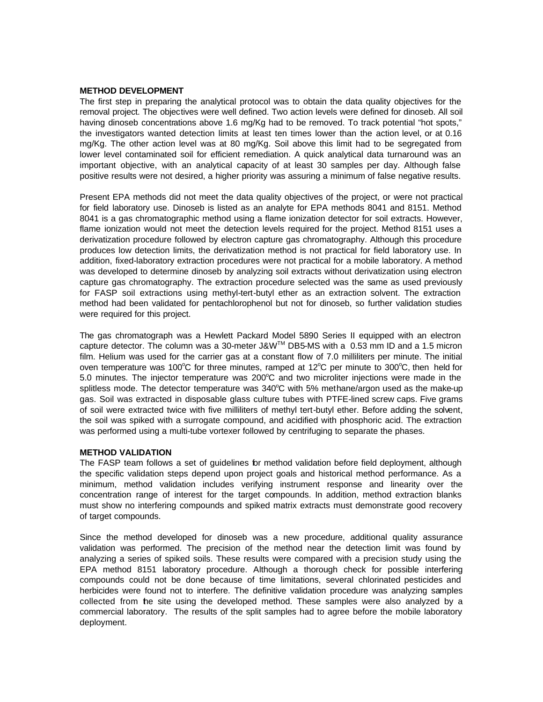## **METHOD DEVELOPMENT**

The first step in preparing the analytical protocol was to obtain the data quality objectives for the removal project. The objectives were well defined. Two action levels were defined for dinoseb. All soil having dinoseb concentrations above 1.6 mg/Kg had to be removed. To track potential "hot spots," the investigators wanted detection limits at least ten times lower than the action level, or at 0.16 mg/Kg. The other action level was at 80 mg/Kg. Soil above this limit had to be segregated from lower level contaminated soil for efficient remediation. A quick analytical data turnaround was an important objective, with an analytical capacity of at least 30 samples per day. Although false positive results were not desired, a higher priority was assuring a minimum of false negative results.

Present EPA methods did not meet the data quality objectives of the project, or were not practical for field laboratory use. Dinoseb is listed as an analyte for EPA methods 8041 and 8151. Method 8041 is a gas chromatographic method using a flame ionization detector for soil extracts. However, flame ionization would not meet the detection levels required for the project. Method 8151 uses a derivatization procedure followed by electron capture gas chromatography. Although this procedure produces low detection limits, the derivatization method is not practical for field laboratory use. In addition, fixed-laboratory extraction procedures were not practical for a mobile laboratory. A method was developed to determine dinoseb by analyzing soil extracts without derivatization using electron capture gas chromatography. The extraction procedure selected was the same as used previously for FASP soil extractions using methyl-tert-butyl ether as an extraction solvent. The extraction method had been validated for pentachlorophenol but not for dinoseb, so further validation studies were required for this project.

The gas chromatograph was a Hewlett Packard Model 5890 Series II equipped with an electron capture detector. The column was a 30-meter J&WTM DB5-MS with a 0.53 mm ID and a 1.5 micron film. Helium was used for the carrier gas at a constant flow of 7.0 milliliters per minute. The initial oven temperature was 100 $\degree$ C for three minutes, ramped at 12 $\degree$ C per minute to 300 $\degree$ C, then held for 5.0 minutes. The injector temperature was  $200^{\circ}$ C and two microliter injections were made in the splitless mode. The detector temperature was  $340^{\circ}$ C with 5% methane/argon used as the make-up gas. Soil was extracted in disposable glass culture tubes with PTFE-lined screw caps. Five grams of soil were extracted twice with five milliliters of methyl tert-butyl ether. Before adding the solvent, the soil was spiked with a surrogate compound, and acidified with phosphoric acid. The extraction was performed using a multi-tube vortexer followed by centrifuging to separate the phases.

# **METHOD VALIDATION**

The FASP team follows a set of guidelines for method validation before field deployment, although the specific validation steps depend upon project goals and historical method performance. As a minimum, method validation includes verifying instrument response and linearity over the concentration range of interest for the target compounds. In addition, method extraction blanks must show no interfering compounds and spiked matrix extracts must demonstrate good recovery of target compounds.

Since the method developed for dinoseb was a new procedure, additional quality assurance validation was performed. The precision of the method near the detection limit was found by analyzing a series of spiked soils. These results were compared with a precision study using the EPA method 8151 laboratory procedure. Although a thorough check for possible interfering compounds could not be done because of time limitations, several chlorinated pesticides and herbicides were found not to interfere. The definitive validation procedure was analyzing samples collected from the site using the developed method. These samples were also analyzed by a commercial laboratory. The results of the split samples had to agree before the mobile laboratory deployment.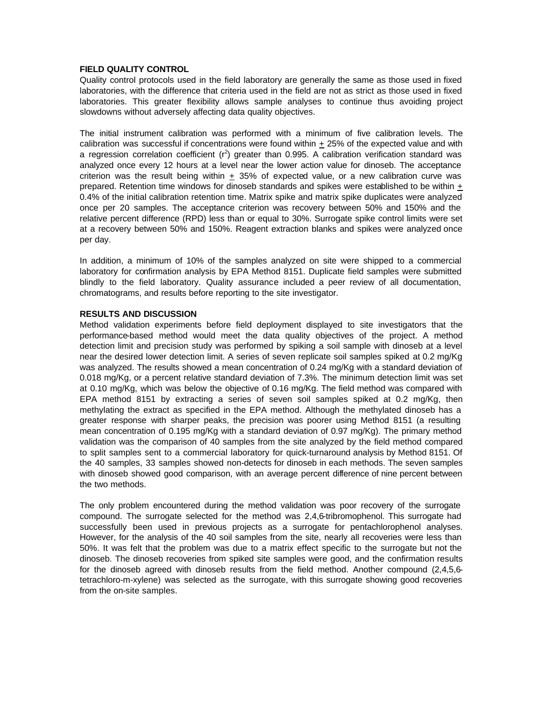## **FIELD QUALITY CONTROL**

Quality control protocols used in the field laboratory are generally the same as those used in fixed laboratories, with the difference that criteria used in the field are not as strict as those used in fixed laboratories. This greater flexibility allows sample analyses to continue thus avoiding project slowdowns without adversely affecting data quality objectives.

The initial instrument calibration was performed with a minimum of five calibration levels. The calibration was successful if concentrations were found within + 25% of the expected value and with a regression correlation coefficient ( $r^2$ ) greater than 0.995. A calibration verification standard was analyzed once every 12 hours at a level near the lower action value for dinoseb. The acceptance criterion was the result being within  $+35%$  of expected value, or a new calibration curve was prepared. Retention time windows for dinoseb standards and spikes were established to be within + 0.4% of the initial calibration retention time. Matrix spike and matrix spike duplicates were analyzed once per 20 samples. The acceptance criterion was recovery between 50% and 150% and the relative percent difference (RPD) less than or equal to 30%. Surrogate spike control limits were set at a recovery between 50% and 150%. Reagent extraction blanks and spikes were analyzed once per day.

In addition, a minimum of 10% of the samples analyzed on site were shipped to a commercial laboratory for confirmation analysis by EPA Method 8151. Duplicate field samples were submitted blindly to the field laboratory. Quality assurance included a peer review of all documentation, chromatograms, and results before reporting to the site investigator.

## **RESULTS AND DISCUSSION**

Method validation experiments before field deployment displayed to site investigators that the performance-based method would meet the data quality objectives of the project. A method detection limit and precision study was performed by spiking a soil sample with dinoseb at a level near the desired lower detection limit. A series of seven replicate soil samples spiked at 0.2 mg/Kg was analyzed. The results showed a mean concentration of 0.24 mg/Kg with a standard deviation of 0.018 mg/Kg, or a percent relative standard deviation of 7.3%. The minimum detection limit was set at 0.10 mg/Kg, which was below the objective of 0.16 mg/Kg. The field method was compared with EPA method 8151 by extracting a series of seven soil samples spiked at 0.2 mg/Kg, then methylating the extract as specified in the EPA method. Although the methylated dinoseb has a greater response with sharper peaks, the precision was poorer using Method 8151 (a resulting mean concentration of 0.195 mg/Kg with a standard deviation of 0.97 mg/Kg). The primary method validation was the comparison of 40 samples from the site analyzed by the field method compared to split samples sent to a commercial laboratory for quick-turnaround analysis by Method 8151. Of the 40 samples, 33 samples showed non-detects for dinoseb in each methods. The seven samples with dinoseb showed good comparison, with an average percent difference of nine percent between the two methods.

The only problem encountered during the method validation was poor recovery of the surrogate compound. The surrogate selected for the method was 2,4,6-tribromophenol. This surrogate had successfully been used in previous projects as a surrogate for pentachlorophenol analyses. However, for the analysis of the 40 soil samples from the site, nearly all recoveries were less than 50%. It was felt that the problem was due to a matrix effect specific to the surrogate but not the dinoseb. The dinoseb recoveries from spiked site samples were good, and the confirmation results for the dinoseb agreed with dinoseb results from the field method. Another compound (2,4,5,6tetrachloro-m-xylene) was selected as the surrogate, with this surrogate showing good recoveries from the on-site samples.